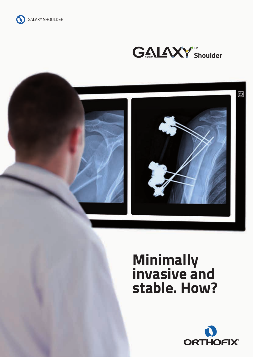





# **Minimally invasive and stable. How?**